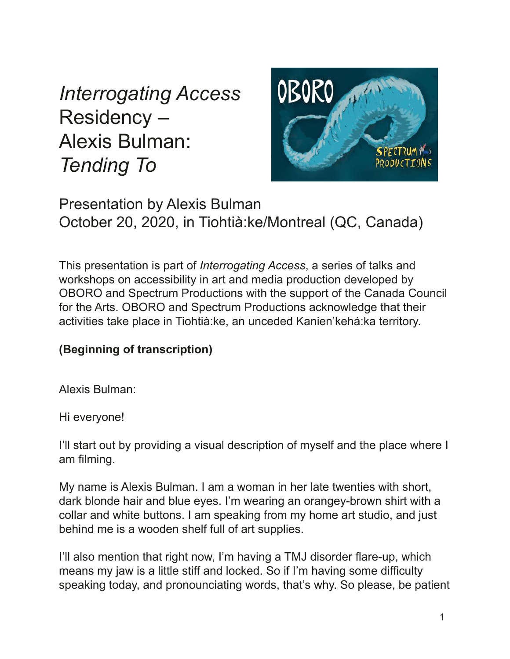## *Interrogating Access* Residency – Alexis Bulman: *Tending To*



Presentation by Alexis Bulman October 20, 2020, in Tiohtià:ke/Montreal (QC, Canada)

This presentation is part of *Interrogating Access*, a series of talks and workshops on accessibility in art and media production developed by OBORO and Spectrum Productions with the support of the Canada Council for the Arts. OBORO and Spectrum Productions acknowledge that their activities take place in Tiohtià:ke, an unceded Kanien'kehá:ka territory.

## **(Beginning of transcription)**

Alexis Bulman:

Hi everyone!

I'll start out by providing a visual description of myself and the place where I am filming.

My name is Alexis Bulman. I am a woman in her late twenties with short, dark blonde hair and blue eyes. I'm wearing an orangey-brown shirt with a collar and white buttons. I am speaking from my home art studio, and just behind me is a wooden shelf full of art supplies.

I'll also mention that right now, I'm having a TMJ disorder flare-up, which means my jaw is a little stiff and locked. So if I'm having some difficulty speaking today, and pronounciating words, that's why. So please, be patient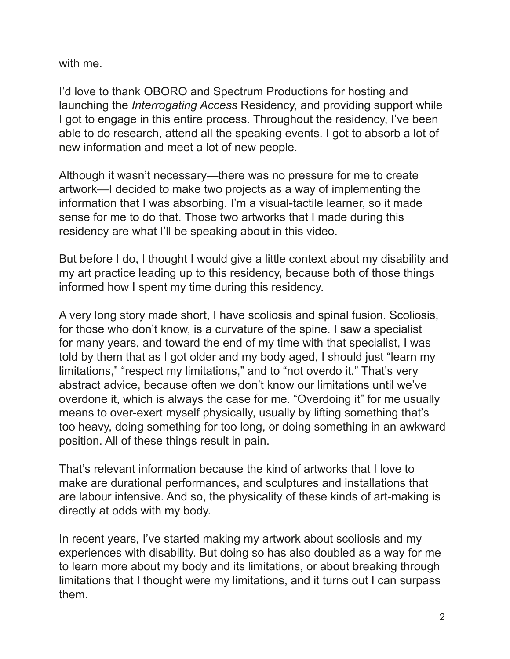with me.

I'd love to thank OBORO and Spectrum Productions for hosting and launching the *Interrogating Access* Residency, and providing support while I got to engage in this entire process. Throughout the residency, I've been able to do research, attend all the speaking events. I got to absorb a lot of new information and meet a lot of new people.

Although it wasn't necessary—there was no pressure for me to create artwork—I decided to make two projects as a way of implementing the information that I was absorbing. I'm a visual-tactile learner, so it made sense for me to do that. Those two artworks that I made during this residency are what I'll be speaking about in this video.

But before I do, I thought I would give a little context about my disability and my art practice leading up to this residency, because both of those things informed how I spent my time during this residency.

A very long story made short, I have scoliosis and spinal fusion. Scoliosis, for those who don't know, is a curvature of the spine. I saw a specialist for many years, and toward the end of my time with that specialist, I was told by them that as I got older and my body aged, I should just "learn my limitations," "respect my limitations," and to "not overdo it." That's very abstract advice, because often we don't know our limitations until we've overdone it, which is always the case for me. "Overdoing it" for me usually means to over-exert myself physically, usually by lifting something that's too heavy, doing something for too long, or doing something in an awkward position. All of these things result in pain.

That's relevant information because the kind of artworks that I love to make are durational performances, and sculptures and installations that are labour intensive. And so, the physicality of these kinds of art-making is directly at odds with my body.

In recent years, I've started making my artwork about scoliosis and my experiences with disability. But doing so has also doubled as a way for me to learn more about my body and its limitations, or about breaking through limitations that I thought were my limitations, and it turns out I can surpass them.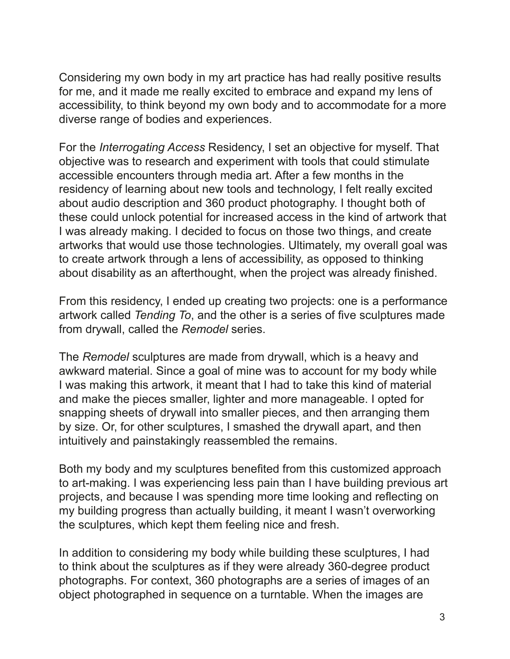Considering my own body in my art practice has had really positive results for me, and it made me really excited to embrace and expand my lens of accessibility, to think beyond my own body and to accommodate for a more diverse range of bodies and experiences.

For the *Interrogating Access* Residency, I set an objective for myself. That objective was to research and experiment with tools that could stimulate accessible encounters through media art. After a few months in the residency of learning about new tools and technology, I felt really excited about audio description and 360 product photography. I thought both of these could unlock potential for increased access in the kind of artwork that I was already making. I decided to focus on those two things, and create artworks that would use those technologies. Ultimately, my overall goal was to create artwork through a lens of accessibility, as opposed to thinking about disability as an afterthought, when the project was already finished.

From this residency, I ended up creating two projects: one is a performance artwork called *Tending To*, and the other is a series of fve sculptures made from drywall, called the *Remodel* series.

The *Remodel* sculptures are made from drywall, which is a heavy and awkward material. Since a goal of mine was to account for my body while I was making this artwork, it meant that I had to take this kind of material and make the pieces smaller, lighter and more manageable. I opted for snapping sheets of drywall into smaller pieces, and then arranging them by size. Or, for other sculptures, I smashed the drywall apart, and then intuitively and painstakingly reassembled the remains.

Both my body and my sculptures benefted from this customized approach to art-making. I was experiencing less pain than I have building previous art projects, and because I was spending more time looking and refecting on my building progress than actually building, it meant I wasn't overworking the sculptures, which kept them feeling nice and fresh.

In addition to considering my body while building these sculptures, I had to think about the sculptures as if they were already 360-degree product photographs. For context, 360 photographs are a series of images of an object photographed in sequence on a turntable. When the images are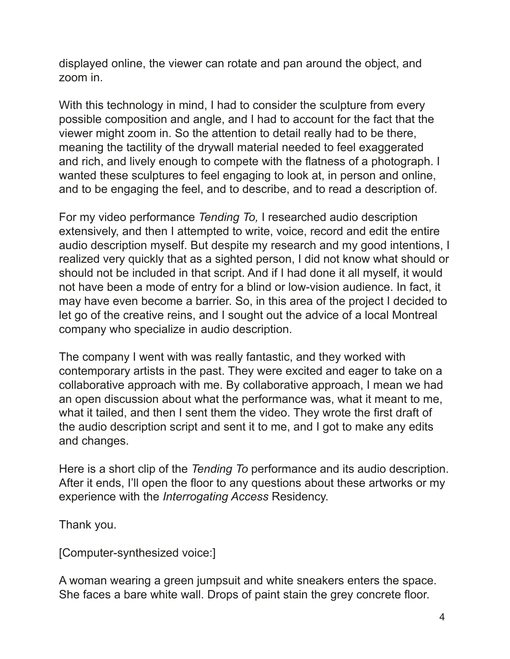displayed online, the viewer can rotate and pan around the object, and zoom in.

With this technology in mind, I had to consider the sculpture from every possible composition and angle, and I had to account for the fact that the viewer might zoom in. So the attention to detail really had to be there, meaning the tactility of the drywall material needed to feel exaggerated and rich, and lively enough to compete with the fatness of a photograph. I wanted these sculptures to feel engaging to look at, in person and online, and to be engaging the feel, and to describe, and to read a description of.

For my video performance *Tending To,* I researched audio description extensively, and then I attempted to write, voice, record and edit the entire audio description myself. But despite my research and my good intentions, I realized very quickly that as a sighted person, I did not know what should or should not be included in that script. And if I had done it all myself, it would not have been a mode of entry for a blind or low-vision audience. In fact, it may have even become a barrier. So, in this area of the project I decided to let go of the creative reins, and I sought out the advice of a local Montreal company who specialize in audio description.

The company I went with was really fantastic, and they worked with contemporary artists in the past. They were excited and eager to take on a collaborative approach with me. By collaborative approach, I mean we had an open discussion about what the performance was, what it meant to me, what it tailed, and then I sent them the video. They wrote the first draft of the audio description script and sent it to me, and I got to make any edits and changes.

Here is a short clip of the *Tending To* performance and its audio description. After it ends, I'll open the floor to any questions about these artworks or my experience with the *Interrogating Access* Residency.

Thank you.

[Computer-synthesized voice:]

A woman wearing a green jumpsuit and white sneakers enters the space. She faces a bare white wall. Drops of paint stain the grey concrete foor.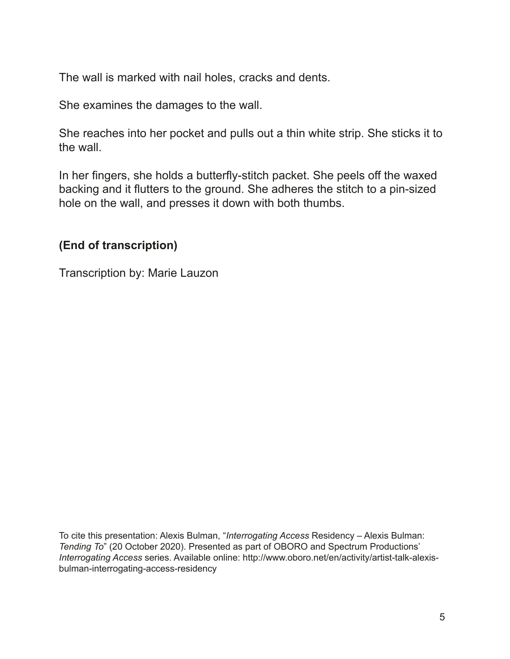The wall is marked with nail holes, cracks and dents.

She examines the damages to the wall.

She reaches into her pocket and pulls out a thin white strip. She sticks it to the wall.

In her fingers, she holds a butterfly-stitch packet. She peels off the waxed backing and it futters to the ground. She adheres the stitch to a pin-sized hole on the wall, and presses it down with both thumbs.

## **(End of transcription)**

Transcription by: Marie Lauzon

To cite this presentation: Alexis Bulman, "*Interrogating Access* Residency – Alexis Bulman: *Tending To*" (20 October 2020). Presented as part of OBORO and Spectrum Productions' *Interrogating Access* series. Available online: http://www.oboro.net/en/activity/artist-talk-alexisbulman-interrogating-access-residency